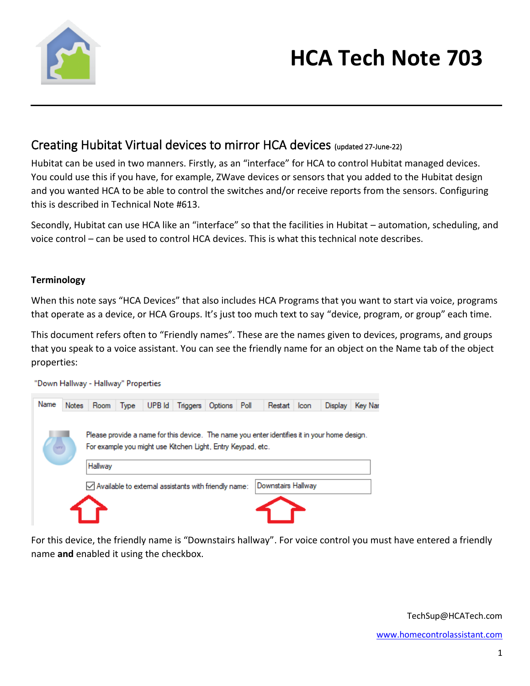

### Creating Hubitat Virtual devices to mirror HCA devices (updated 27-June-22)

Hubitat can be used in two manners. Firstly, as an "interface" for HCA to control Hubitat managed devices. You could use this if you have, for example, ZWave devices or sensors that you added to the Hubitat design and you wanted HCA to be able to control the switches and/or receive reports from the sensors. Configuring this is described in Technical Note #613.

Secondly, Hubitat can use HCA like an "interface" so that the facilities in Hubitat – automation, scheduling, and voice control – can be used to control HCA devices. This is what this technical note describes.

#### **Terminology**

When this note says "HCA Devices" that also includes HCA Programs that you want to start via voice, programs that operate as a device, or HCA Groups. It's just too much text to say "device, program, or group" each time.

This document refers often to "Friendly names". These are the names given to devices, programs, and groups that you speak to a voice assistant. You can see the friendly name for an object on the Name tab of the object properties:



For this device, the friendly name is "Downstairs hallway". For voice control you must have entered a friendly name **and** enabled it using the checkbox.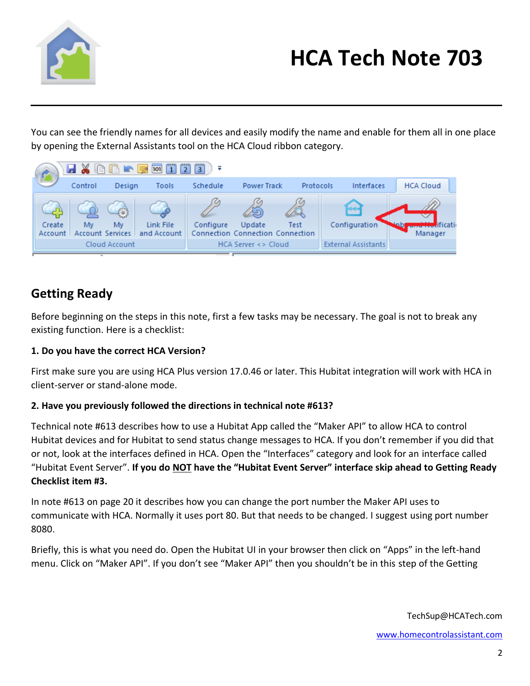

You can see the friendly names for all devices and easily modify the name and enable for them all in one place by opening the External Assistants tool on the HCA Cloud ribbon category.



### **Getting Ready**

Before beginning on the steps in this note, first a few tasks may be necessary. The goal is not to break any existing function. Here is a checklist:

### **1. Do you have the correct HCA Version?**

First make sure you are using HCA Plus version 17.0.46 or later. This Hubitat integration will work with HCA in client-server or stand-alone mode.

### **2. Have you previously followed the directions in technical note #613?**

Technical note #613 describes how to use a Hubitat App called the "Maker API" to allow HCA to control Hubitat devices and for Hubitat to send status change messages to HCA. If you don't remember if you did that or not, look at the interfaces defined in HCA. Open the "Interfaces" category and look for an interface called "Hubitat Event Server". **If you do NOT have the "Hubitat Event Server" interface skip ahead to Getting Ready Checklist item #3.**

In note #613 on page 20 it describes how you can change the port number the Maker API uses to communicate with HCA. Normally it uses port 80. But that needs to be changed. I suggest using port number 8080.

Briefly, this is what you need do. Open the Hubitat UI in your browser then click on "Apps" in the left-hand menu. Click on "Maker API". If you don't see "Maker API" then you shouldn't be in this step of the Getting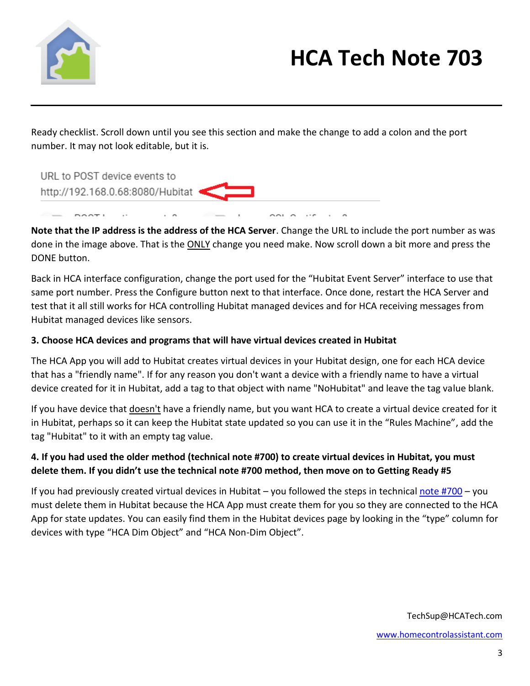

Ready checklist. Scroll down until you see this section and make the change to add a colon and the port number. It may not look editable, but it is.



**Note that the IP address is the address of the HCA Server**. Change the URL to include the port number as was done in the image above. That is the ONLY change you need make. Now scroll down a bit more and press the DONE button.

Back in HCA interface configuration, change the port used for the "Hubitat Event Server" interface to use that same port number. Press the Configure button next to that interface. Once done, restart the HCA Server and test that it all still works for HCA controlling Hubitat managed devices and for HCA receiving messages from Hubitat managed devices like sensors.

#### **3. Choose HCA devices and programs that will have virtual devices created in Hubitat**

The HCA App you will add to Hubitat creates virtual devices in your Hubitat design, one for each HCA device that has a "friendly name". If for any reason you don't want a device with a friendly name to have a virtual device created for it in Hubitat, add a tag to that object with name "NoHubitat" and leave the tag value blank.

If you have device that **doesn't** have a friendly name, but you want HCA to create a virtual device created for it in Hubitat, perhaps so it can keep the Hubitat state updated so you can use it in the "Rules Machine", add the tag "Hubitat" to it with an empty tag value.

### **4. If you had used the older method (technical note #700) to create virtual devices in Hubitat, you must delete them. If you didn't use the technical note #700 method, then move on to Getting Ready #5**

If you had previously created virtual devices in Hubitat – you followed the steps in technica[l note #700](https://www.homecontrolassistant.com/download/Doc/TechNotes/TechNote_700_HubitatToHCA.pdf) – you must delete them in Hubitat because the HCA App must create them for you so they are connected to the HCA App for state updates. You can easily find them in the Hubitat devices page by looking in the "type" column for devices with type "HCA Dim Object" and "HCA Non-Dim Object".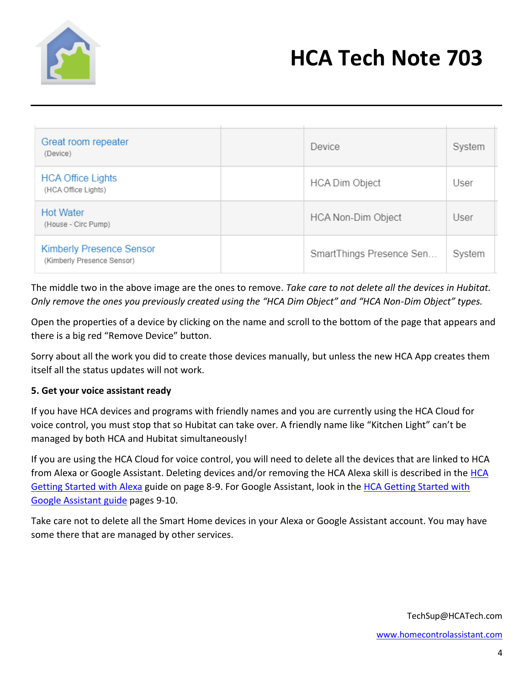

| Great room repeater<br>(Device)                               | Device                   | System |
|---------------------------------------------------------------|--------------------------|--------|
| <b>HCA Office Lights</b><br>(HCA Office Lights)               | <b>HCA Dim Object</b>    | User   |
| <b>Hot Water</b><br>(House - Circ Pump)                       | HCA Non-Dim Object       | User   |
| <b>Kimberly Presence Sensor</b><br>(Kimberly Presence Sensor) | SmartThings Presence Sen | System |

The middle two in the above image are the ones to remove. *Take care to not delete all the devices in Hubitat. Only remove the ones you previously created using the "HCA Dim Object" and "HCA Non-Dim Object" types.*

Open the properties of a device by clicking on the name and scroll to the bottom of the page that appears and there is a big red "Remove Device" button.

Sorry about all the work you did to create those devices manually, but unless the new HCA App creates them itself all the status updates will not work.

#### **5. Get your voice assistant ready**

If you have HCA devices and programs with friendly names and you are currently using the HCA Cloud for voice control, you must stop that so Hubitat can take over. A friendly name like "Kitchen Light" can't be managed by both HCA and Hubitat simultaneously!

If you are using the HCA Cloud for voice control, you will need to delete all the devices that are linked to HCA from Alexa or Google Assistant. Deleting devices and/or removing the HCA Alexa skill is described in the [HCA](https://www.homecontrolassistant.com/download/Doc/GettingStarted/Getting%20Started%20with%20HCA%20-%20Amazon%20Alexa.pdf)  [Getting Started](https://www.homecontrolassistant.com/download/Doc/GettingStarted/Getting%20Started%20with%20HCA%20-%20Amazon%20Alexa.pdf) with Alexa guide on page 8-9. For Google Assistant, look in the [HCA Getting Started with](https://www.homecontrolassistant.com/download/Doc/GettingStarted/Getting%20Started%20with%20HCA%20-%20Google%20Assistant.pdf)  [Google Assistant guide](https://www.homecontrolassistant.com/download/Doc/GettingStarted/Getting%20Started%20with%20HCA%20-%20Google%20Assistant.pdf) pages 9-10.

Take care not to delete all the Smart Home devices in your Alexa or Google Assistant account. You may have some there that are managed by other services.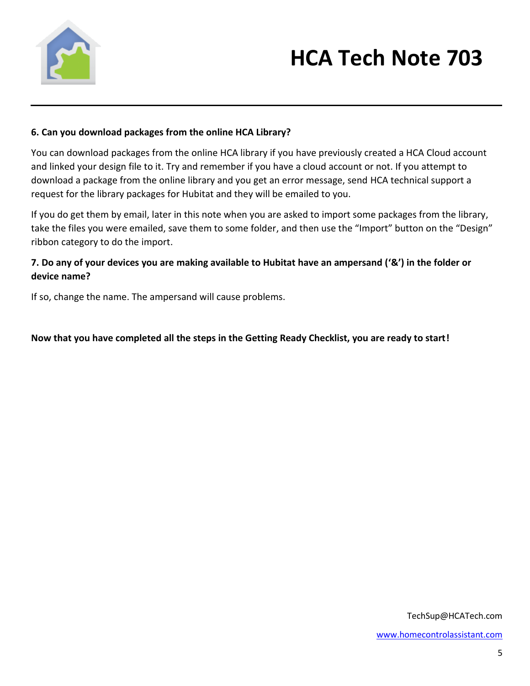

#### **6. Can you download packages from the online HCA Library?**

You can download packages from the online HCA library if you have previously created a HCA Cloud account and linked your design file to it. Try and remember if you have a cloud account or not. If you attempt to download a package from the online library and you get an error message, send HCA technical support a request for the library packages for Hubitat and they will be emailed to you.

If you do get them by email, later in this note when you are asked to import some packages from the library, take the files you were emailed, save them to some folder, and then use the "Import" button on the "Design" ribbon category to do the import.

### **7. Do any of your devices you are making available to Hubitat have an ampersand ('&') in the folder or device name?**

If so, change the name. The ampersand will cause problems.

**Now that you have completed all the steps in the Getting Ready Checklist, you are ready to start!**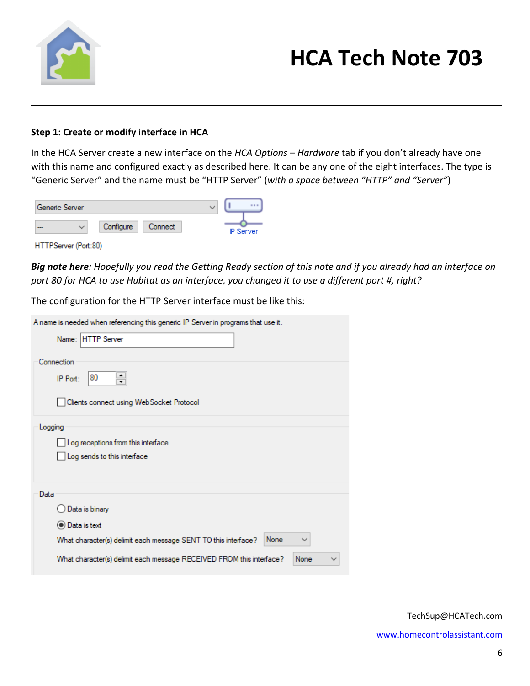

#### **Step 1: Create or modify interface in HCA**

In the HCA Server create a new interface on the *HCA Options – Hardware* tab if you don't already have one with this name and configured exactly as described here. It can be any one of the eight interfaces. The type is "Generic Server" and the name must be "HTTP Server" (*with a space between "HTTP" and "Server"*)

| Generic Server |              |           |         |  |                  |
|----------------|--------------|-----------|---------|--|------------------|
| $-$            | $\checkmark$ | Configure | Connect |  | <b>IP Server</b> |

HTTPServer (Port:80)

*Big note here: Hopefully you read the Getting Ready section of this note and if you already had an interface on port 80 for HCA to use Hubitat as an interface, you changed it to use a different port #, right?*

The configuration for the HTTP Server interface must be like this:

| A name is needed when referencing this generic IP Server in programs that use it.      |
|----------------------------------------------------------------------------------------|
| Name: HTTP Server                                                                      |
| Connection                                                                             |
| 80<br>$\div$<br>IP Port:                                                               |
| Clients connect using WebSocket Protocol                                               |
| Logging                                                                                |
| Log receptions from this interface                                                     |
| Log sends to this interface                                                            |
|                                                                                        |
| Data                                                                                   |
| Data is binary                                                                         |
| ◉ Data is text                                                                         |
| What character(s) delimit each message SENT TO this interface?<br>None<br>$\checkmark$ |
| What character(s) delimit each message RECEIVED FROM this interface?<br>None           |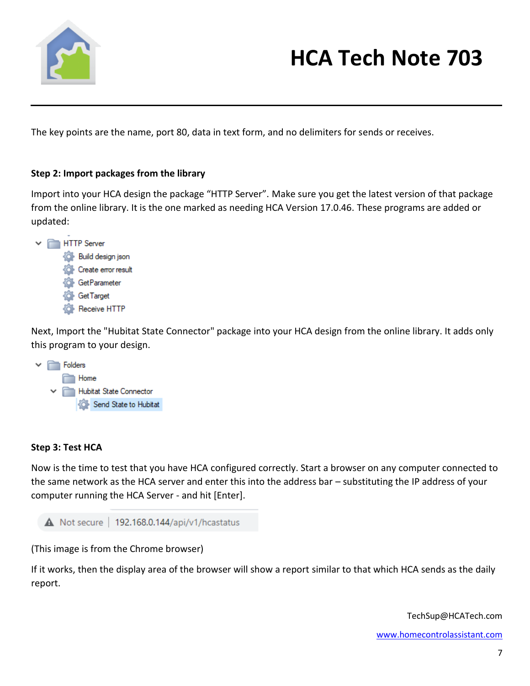

The key points are the name, port 80, data in text form, and no delimiters for sends or receives.

#### **Step 2: Import packages from the library**

Import into your HCA design the package "HTTP Server". Make sure you get the latest version of that package from the online library. It is the one marked as needing HCA Version 17.0.46. These programs are added or updated:



Next, Import the "Hubitat State Connector" package into your HCA design from the online library. It adds only this program to your design.



#### **Step 3: Test HCA**

Now is the time to test that you have HCA configured correctly. Start a browser on any computer connected to the same network as the HCA server and enter this into the address bar – substituting the IP address of your computer running the HCA Server - and hit [Enter].



(This image is from the Chrome browser)

If it works, then the display area of the browser will show a report similar to that which HCA sends as the daily report.

TechSup@HCATech.com

[www.homecontrolassistant.com](http://www.homecontrolassistant.com/)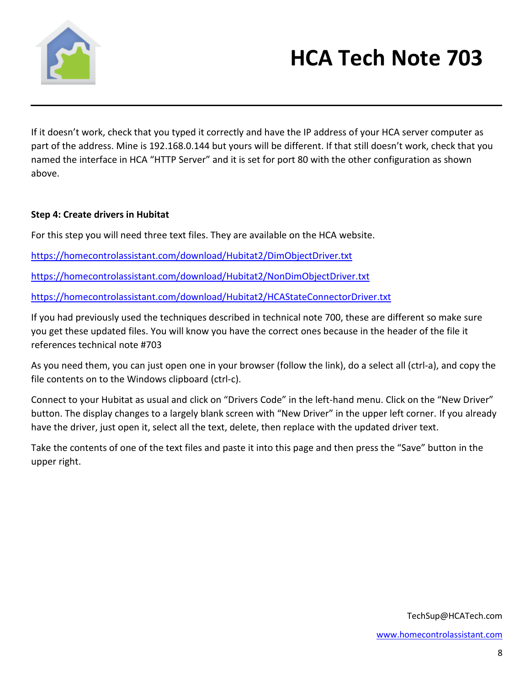

If it doesn't work, check that you typed it correctly and have the IP address of your HCA server computer as part of the address. Mine is 192.168.0.144 but yours will be different. If that still doesn't work, check that you named the interface in HCA "HTTP Server" and it is set for port 80 with the other configuration as shown above.

### **Step 4: Create drivers in Hubitat**

For this step you will need three text files. They are available on the HCA website.

<https://homecontrolassistant.com/download/Hubitat2/DimObjectDriver.txt>

<https://homecontrolassistant.com/download/Hubitat2/NonDimObjectDriver.txt>

<https://homecontrolassistant.com/download/Hubitat2/HCAStateConnectorDriver.txt>

If you had previously used the techniques described in technical note 700, these are different so make sure you get these updated files. You will know you have the correct ones because in the header of the file it references technical note #703

As you need them, you can just open one in your browser (follow the link), do a select all (ctrl-a), and copy the file contents on to the Windows clipboard (ctrl-c).

Connect to your Hubitat as usual and click on "Drivers Code" in the left-hand menu. Click on the "New Driver" button. The display changes to a largely blank screen with "New Driver" in the upper left corner. If you already have the driver, just open it, select all the text, delete, then replace with the updated driver text.

Take the contents of one of the text files and paste it into this page and then press the "Save" button in the upper right.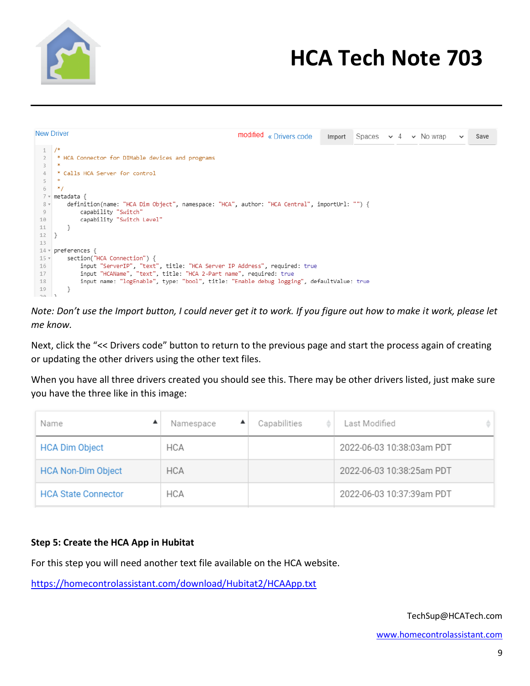

|        | <b>New Driver</b>                                                                            |
|--------|----------------------------------------------------------------------------------------------|
|        | modified « Drivers code<br>Import<br>Spaces $\vee$ 4 $\vee$ No wrap<br>Save<br>$\checkmark$  |
|        | 1 /                                                                                          |
|        | * HCA Connector for DIMable devices and programs                                             |
| 3      |                                                                                              |
| 4      | * Calls HCA Server for control                                                               |
| 5      |                                                                                              |
| 6      | * 1                                                                                          |
|        | $7$ $\times$ metadata {                                                                      |
| $8 -$  | definition(name: "HCA Dim Object", namespace: "HCA", author: "HCA Central", importUrl: "") { |
| 9      | capability "Switch"                                                                          |
| 10     | capability "Switch Level"                                                                    |
| 11     |                                                                                              |
| 12     |                                                                                              |
| 13     |                                                                                              |
|        | $14 \times$ preferences {                                                                    |
| $15 -$ | section("HCA Connection") {                                                                  |
| 16     | input "ServerIP", "text", title: "HCA Server IP Address", required: true                     |
| 17     | input "HCAName", "text", title: "HCA 2-Part name", required: true                            |
| 18     | input name: "logEnable", type: "bool", title: "Enable debug logging", defaultValue: true     |
| 19     |                                                                                              |
| -30 1  |                                                                                              |

*Note: Don't use the Import button, I could never get it to work. If you figure out how to make it work, please let me know.*

Next, click the "<< Drivers code" button to return to the previous page and start the process again of creating or updating the other drivers using the other text files.

When you have all three drivers created you should see this. There may be other drivers listed, just make sure you have the three like in this image:

| Name                       | Namespace  | Capabilities | Last Modified             |
|----------------------------|------------|--------------|---------------------------|
| <b>HCA Dim Object</b>      | <b>HCA</b> |              | 2022-06-03 10:38:03am PDT |
| <b>HCA Non-Dim Object</b>  | <b>HCA</b> |              | 2022-06-03 10:38:25am PDT |
| <b>HCA State Connector</b> | <b>HCA</b> |              | 2022-06-03 10:37:39am PDT |

#### **Step 5: Create the HCA App in Hubitat**

For this step you will need another text file available on the HCA website.

<https://homecontrolassistant.com/download/Hubitat2/HCAApp.txt>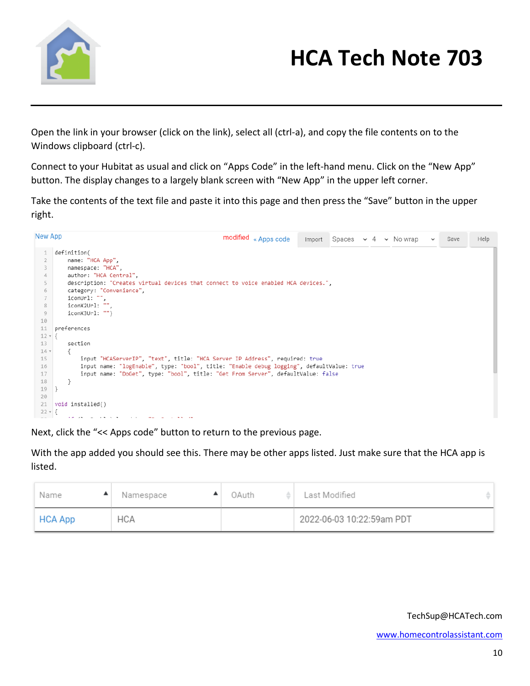

Open the link in your browser (click on the link), select all (ctrl-a), and copy the file contents on to the Windows clipboard (ctrl-c).

Connect to your Hubitat as usual and click on "Apps Code" in the left-hand menu. Click on the "New App" button. The display changes to a largely blank screen with "New App" in the upper left corner.

Take the contents of the text file and paste it into this page and then press the "Save" button in the upper right.

| New App        | modified « Apps code<br>Spaces $\sim 4 \sim$ Nowrap<br>Import<br>Help<br>Save<br>$\checkmark$               |
|----------------|-------------------------------------------------------------------------------------------------------------|
|                | definition(                                                                                                 |
| $\overline{2}$ | name: "HCA App",                                                                                            |
| 3              | namespace: "HCA",                                                                                           |
| 4              | author: "HCA Central",                                                                                      |
| 5              | description: "Creates virtual devices that connect to voice enabled HCA devices.",                          |
| 6              | category: "Convenience",                                                                                    |
| $\overline{7}$ | iconUrl: "",                                                                                                |
| 8              | iconX2Url: "",                                                                                              |
| 9              | iconX3Url: "")                                                                                              |
| 10             |                                                                                                             |
| 11             | preferences                                                                                                 |
| $12 \times 1$  |                                                                                                             |
| 13             | section                                                                                                     |
| $14 -$         |                                                                                                             |
| 15             | input "HCAServerIP", "text", title: "HCA Server IP Address", required: true                                 |
| 16             | input name: "logEnable", type: "bool", title: "Enable debug logging", defaultValue: true                    |
| 17             | input name: "DoGet", type: "bool", title: "Get From Server", defaultValue: false                            |
| 18             |                                                                                                             |
| 19<br>20       |                                                                                                             |
| 21             | void installed()                                                                                            |
| $22 \times 1$  |                                                                                                             |
| $\sim$ $-$     | $\mathbf{r} \cdot \mathbf{r}$ , $\mathbf{r} \cdot \mathbf{r}$ , $\mathbf{r} \cdot \mathbf{r}$<br><b>COL</b> |

Next, click the "<< Apps code" button to return to the previous page.

With the app added you should see this. There may be other apps listed. Just make sure that the HCA app is listed.

| Name    | Namespace  | 0Auth<br>∸ | Last Modified             |
|---------|------------|------------|---------------------------|
| HCA App | <b>HCA</b> |            | 2022-06-03 10:22:59am PDT |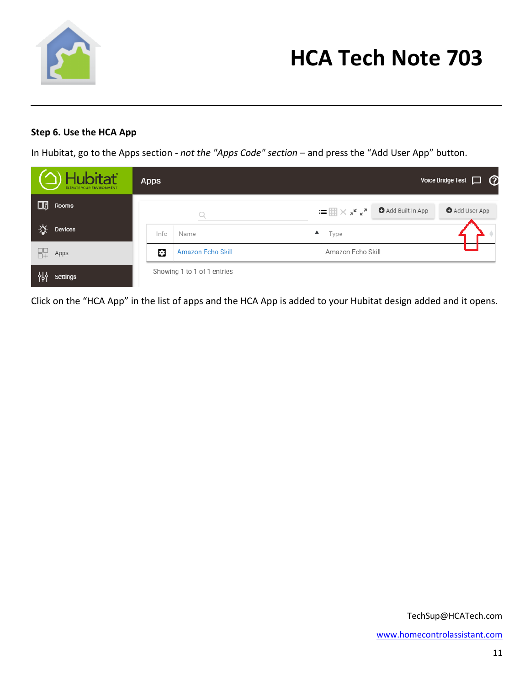

### **Step 6. Use the HCA App**

In Hubitat, go to the Apps section - *not the "Apps Code" section* – and press the "Add User App" button.

| <b>D</b> Hubitat<br>ELEVATE YOUR ENVIRONMENT | <b>Apps</b> |                             |                       |                  | Voice Bridge Test $\Box$ $\Omega$ |
|----------------------------------------------|-------------|-----------------------------|-----------------------|------------------|-----------------------------------|
| 100<br>Rooms                                 |             |                             | ;≡⊞×, <sub>*</sub> ′∡ | Add Built-In App | Add User App                      |
| ☆<br><b>Devices</b>                          | Info        | ▲<br>Name                   | Type                  |                  |                                   |
| 即<br>Apps                                    | o           | Amazon Echo Skill           | Amazon Echo Skill     |                  |                                   |
| 해<br><b>Settings</b>                         |             | Showing 1 to 1 of 1 entries |                       |                  |                                   |

Click on the "HCA App" in the list of apps and the HCA App is added to your Hubitat design added and it opens.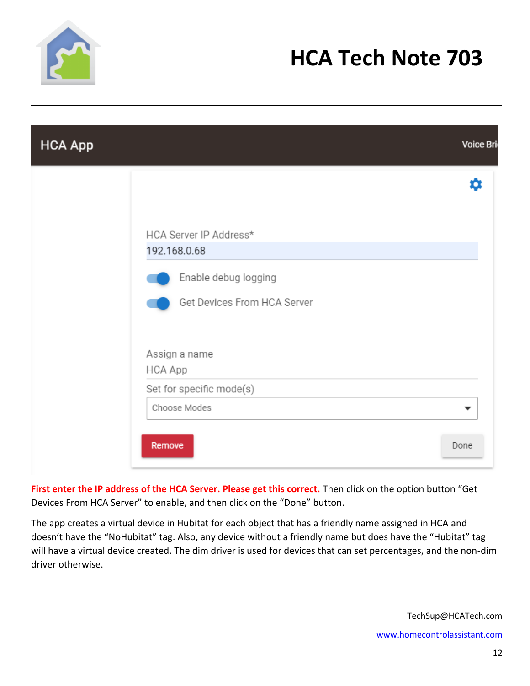

| <b>HCA App</b> |                                                     | Voice Bri |
|----------------|-----------------------------------------------------|-----------|
|                |                                                     | o         |
|                | HCA Server IP Address*<br>192.168.0.68              |           |
|                | Enable debug logging<br>Get Devices From HCA Server |           |
|                | Assign a name<br>HCA App                            |           |
|                | Set for specific mode(s)                            |           |
|                | Choose Modes                                        | ▼         |
|                | Remove                                              | Done      |

**First enter the IP address of the HCA Server. Please get this correct.** Then click on the option button "Get Devices From HCA Server" to enable, and then click on the "Done" button.

The app creates a virtual device in Hubitat for each object that has a friendly name assigned in HCA and doesn't have the "NoHubitat" tag. Also, any device without a friendly name but does have the "Hubitat" tag will have a virtual device created. The dim driver is used for devices that can set percentages, and the non-dim driver otherwise.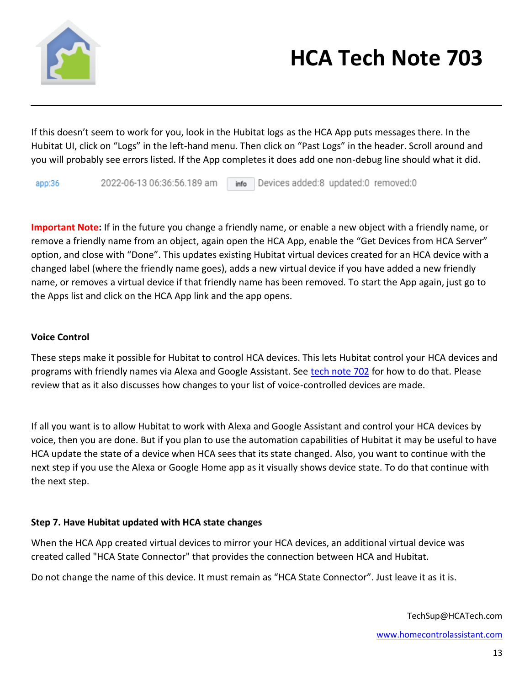

If this doesn't seem to work for you, look in the Hubitat logs as the HCA App puts messages there. In the Hubitat UI, click on "Logs" in the left-hand menu. Then click on "Past Logs" in the header. Scroll around and you will probably see errors listed. If the App completes it does add one non-debug line should what it did.

2022-06-13 06:36:56.189 am info Devices added:8 updated:0 removed:0  $app:36$ 

**Important Note:** If in the future you change a friendly name, or enable a new object with a friendly name, or remove a friendly name from an object, again open the HCA App, enable the "Get Devices from HCA Server" option, and close with "Done". This updates existing Hubitat virtual devices created for an HCA device with a changed label (where the friendly name goes), adds a new virtual device if you have added a new friendly name, or removes a virtual device if that friendly name has been removed. To start the App again, just go to the Apps list and click on the HCA App link and the app opens.

#### **Voice Control**

These steps make it possible for Hubitat to control HCA devices. This lets Hubitat control your HCA devices and programs with friendly names via Alexa and Google Assistant. See [tech note 702](https://www.homecontrolassistant.com/download/Doc/TechNotes/TechNote_702_HubitatVoiceControl.pdf) for how to do that. Please review that as it also discusses how changes to your list of voice-controlled devices are made.

If all you want is to allow Hubitat to work with Alexa and Google Assistant and control your HCA devices by voice, then you are done. But if you plan to use the automation capabilities of Hubitat it may be useful to have HCA update the state of a device when HCA sees that its state changed. Also, you want to continue with the next step if you use the Alexa or Google Home app as it visually shows device state. To do that continue with the next step.

#### **Step 7. Have Hubitat updated with HCA state changes**

When the HCA App created virtual devices to mirror your HCA devices, an additional virtual device was created called "HCA State Connector" that provides the connection between HCA and Hubitat.

Do not change the name of this device. It must remain as "HCA State Connector". Just leave it as it is.